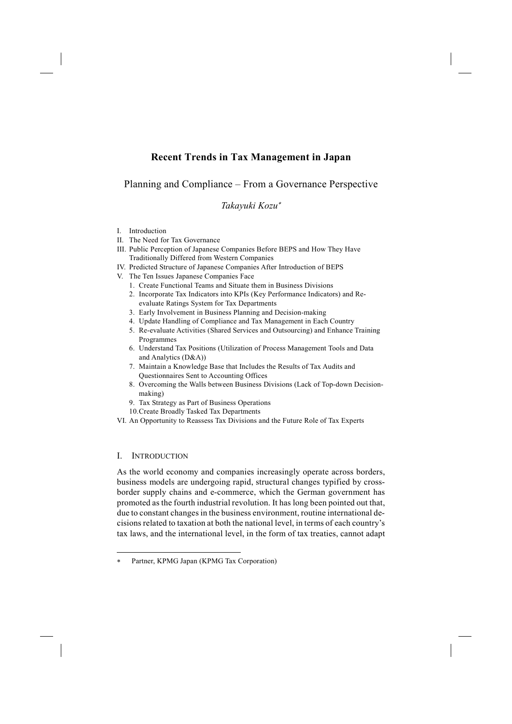# **Recent Trends in Tax Management in Japan**

# Planning and Compliance – From a Governance Perspective

# *Takayuki Kozu*<sup>∗</sup>

- I. Introduction
- II. The Need for Tax Governance
- III. Public Perception of Japanese Companies Before BEPS and How They Have Traditionally Differed from Western Companies
- IV. Predicted Structure of Japanese Companies After Introduction of BEPS
- V. The Ten Issues Japanese Companies Face
	- 1. Create Functional Teams and Situate them in Business Divisions
	- 2. Incorporate Tax Indicators into KPIs (Key Performance Indicators) and Reevaluate Ratings System for Tax Departments
	- 3. Early Involvement in Business Planning and Decision-making
	- 4. Update Handling of Compliance and Tax Management in Each Country
	- 5. Re-evaluate Activities (Shared Services and Outsourcing) and Enhance Training Programmes
	- 6. Understand Tax Positions (Utilization of Process Management Tools and Data and Analytics (D&A))
	- 7. Maintain a Knowledge Base that Includes the Results of Tax Audits and Questionnaires Sent to Accounting Offices
	- 8. Overcoming the Walls between Business Divisions (Lack of Top-down Decisionmaking)
	- 9. Tax Strategy as Part of Business Operations
	- 10.Create Broadly Tasked Tax Departments
- VI. An Opportunity to Reassess Tax Divisions and the Future Role of Tax Experts

# I. INTRODUCTION

-

As the world economy and companies increasingly operate across borders, business models are undergoing rapid, structural changes typified by crossborder supply chains and e-commerce, which the German government has promoted as the fourth industrial revolution. It has long been pointed out that, due to constant changes in the business environment, routine international decisions related to taxation at both the national level, in terms of each country's tax laws, and the international level, in the form of tax treaties, cannot adapt

Partner, KPMG Japan (KPMG Tax Corporation)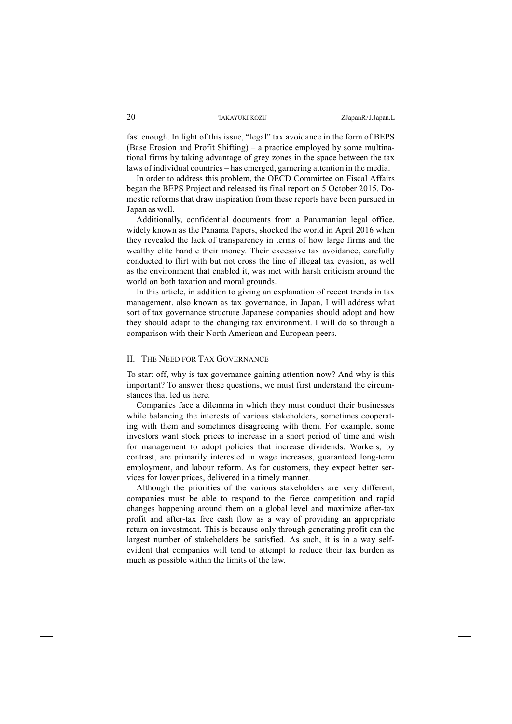fast enough. In light of this issue, "legal" tax avoidance in the form of BEPS (Base Erosion and Profit Shifting) – a practice employed by some multinational firms by taking advantage of grey zones in the space between the tax laws of individual countries – has emerged, garnering attention in the media.

In order to address this problem, the OECD Committee on Fiscal Affairs began the BEPS Project and released its final report on 5 October 2015. Domestic reforms that draw inspiration from these reports have been pursued in Japan as well.

Additionally, confidential documents from a Panamanian legal office, widely known as the Panama Papers, shocked the world in April 2016 when they revealed the lack of transparency in terms of how large firms and the wealthy elite handle their money. Their excessive tax avoidance, carefully conducted to flirt with but not cross the line of illegal tax evasion, as well as the environment that enabled it, was met with harsh criticism around the world on both taxation and moral grounds.

In this article, in addition to giving an explanation of recent trends in tax management, also known as tax governance, in Japan, I will address what sort of tax governance structure Japanese companies should adopt and how they should adapt to the changing tax environment. I will do so through a comparison with their North American and European peers.

### II. THE NEED FOR TAX GOVERNANCE

To start off, why is tax governance gaining attention now? And why is this important? To answer these questions, we must first understand the circumstances that led us here.

Companies face a dilemma in which they must conduct their businesses while balancing the interests of various stakeholders, sometimes cooperating with them and sometimes disagreeing with them. For example, some investors want stock prices to increase in a short period of time and wish for management to adopt policies that increase dividends. Workers, by contrast, are primarily interested in wage increases, guaranteed long-term employment, and labour reform. As for customers, they expect better services for lower prices, delivered in a timely manner.

Although the priorities of the various stakeholders are very different, companies must be able to respond to the fierce competition and rapid changes happening around them on a global level and maximize after-tax profit and after-tax free cash flow as a way of providing an appropriate return on investment. This is because only through generating profit can the largest number of stakeholders be satisfied. As such, it is in a way selfevident that companies will tend to attempt to reduce their tax burden as much as possible within the limits of the law.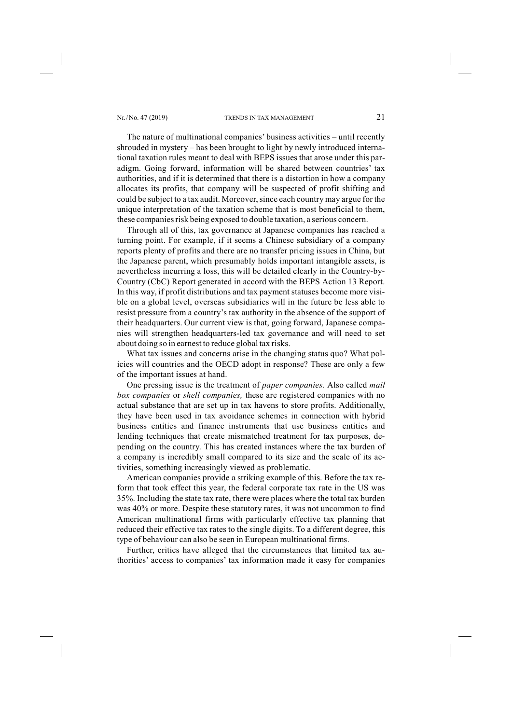The nature of multinational companies' business activities – until recently shrouded in mystery – has been brought to light by newly introduced international taxation rules meant to deal with BEPS issues that arose under this paradigm. Going forward, information will be shared between countries' tax authorities, and if it is determined that there is a distortion in how a company allocates its profits, that company will be suspected of profit shifting and could be subject to a tax audit. Moreover, since each country may argue for the unique interpretation of the taxation scheme that is most beneficial to them, these companies risk being exposed to double taxation, a serious concern.

Through all of this, tax governance at Japanese companies has reached a turning point. For example, if it seems a Chinese subsidiary of a company reports plenty of profits and there are no transfer pricing issues in China, but the Japanese parent, which presumably holds important intangible assets, is nevertheless incurring a loss, this will be detailed clearly in the Country-by-Country (CbC) Report generated in accord with the BEPS Action 13 Report. In this way, if profit distributions and tax payment statuses become more visible on a global level, overseas subsidiaries will in the future be less able to resist pressure from a country's tax authority in the absence of the support of their headquarters. Our current view is that, going forward, Japanese companies will strengthen headquarters-led tax governance and will need to set about doing so in earnest to reduce global tax risks.

What tax issues and concerns arise in the changing status quo? What policies will countries and the OECD adopt in response? These are only a few of the important issues at hand.

One pressing issue is the treatment of *paper companies.* Also called *mail box companies* or *shell companies,* these are registered companies with no actual substance that are set up in tax havens to store profits. Additionally, they have been used in tax avoidance schemes in connection with hybrid business entities and finance instruments that use business entities and lending techniques that create mismatched treatment for tax purposes, depending on the country. This has created instances where the tax burden of a company is incredibly small compared to its size and the scale of its activities, something increasingly viewed as problematic.

American companies provide a striking example of this. Before the tax reform that took effect this year, the federal corporate tax rate in the US was 35%. Including the state tax rate, there were places where the total tax burden was 40% or more. Despite these statutory rates, it was not uncommon to find American multinational firms with particularly effective tax planning that reduced their effective tax rates to the single digits. To a different degree, this type of behaviour can also be seen in European multinational firms.

Further, critics have alleged that the circumstances that limited tax authorities' access to companies' tax information made it easy for companies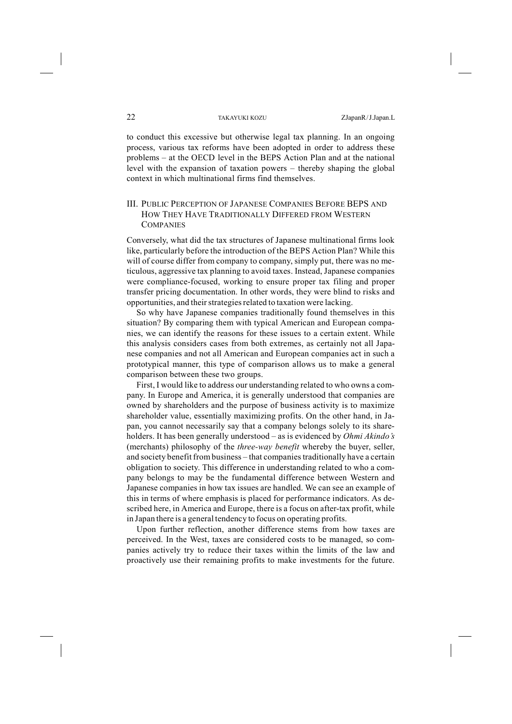to conduct this excessive but otherwise legal tax planning. In an ongoing process, various tax reforms have been adopted in order to address these problems – at the OECD level in the BEPS Action Plan and at the national level with the expansion of taxation powers – thereby shaping the global context in which multinational firms find themselves.

# III. PUBLIC PERCEPTION OF JAPANESE COMPANIES BEFORE BEPS AND HOW THEY HAVE TRADITIONALLY DIFFERED FROM WESTERN **COMPANIES**

Conversely, what did the tax structures of Japanese multinational firms look like, particularly before the introduction of the BEPS Action Plan? While this will of course differ from company to company, simply put, there was no meticulous, aggressive tax planning to avoid taxes. Instead, Japanese companies were compliance-focused, working to ensure proper tax filing and proper transfer pricing documentation. In other words, they were blind to risks and opportunities, and their strategies related to taxation were lacking.

So why have Japanese companies traditionally found themselves in this situation? By comparing them with typical American and European companies, we can identify the reasons for these issues to a certain extent. While this analysis considers cases from both extremes, as certainly not all Japanese companies and not all American and European companies act in such a prototypical manner, this type of comparison allows us to make a general comparison between these two groups.

First, I would like to address our understanding related to who owns a company. In Europe and America, it is generally understood that companies are owned by shareholders and the purpose of business activity is to maximize shareholder value, essentially maximizing profits. On the other hand, in Japan, you cannot necessarily say that a company belongs solely to its shareholders. It has been generally understood – as is evidenced by *Ohmi Akindo's* (merchants) philosophy of the *three-way benefit* whereby the buyer, seller, and society benefit frombusiness – that companiestraditionally have a certain obligation to society. This difference in understanding related to who a company belongs to may be the fundamental difference between Western and Japanese companies in how tax issues are handled. We can see an example of this in terms of where emphasis is placed for performance indicators. As described here, in America and Europe, there is a focus on after-tax profit, while in Japan there is a general tendency to focus on operating profits.

Upon further reflection, another difference stems from how taxes are perceived. In the West, taxes are considered costs to be managed, so companies actively try to reduce their taxes within the limits of the law and proactively use their remaining profits to make investments for the future.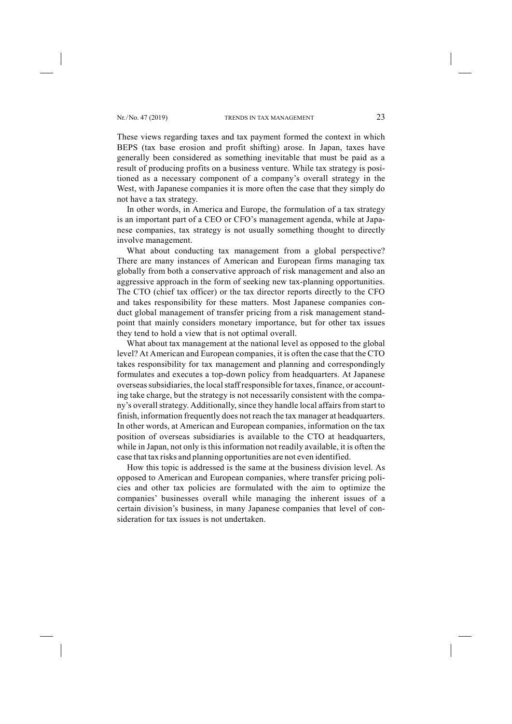These views regarding taxes and tax payment formed the context in which BEPS (tax base erosion and profit shifting) arose. In Japan, taxes have generally been considered as something inevitable that must be paid as a result of producing profits on a business venture. While tax strategy is positioned as a necessary component of a company's overall strategy in the West, with Japanese companies it is more often the case that they simply do not have a tax strategy.

In other words, in America and Europe, the formulation of a tax strategy is an important part of a CEO or CFO's management agenda, while at Japanese companies, tax strategy is not usually something thought to directly involve management.

What about conducting tax management from a global perspective? There are many instances of American and European firms managing tax globally from both a conservative approach of risk management and also an aggressive approach in the form of seeking new tax-planning opportunities. The CTO (chief tax officer) or the tax director reports directly to the CFO and takes responsibility for these matters. Most Japanese companies conduct global management of transfer pricing from a risk management standpoint that mainly considers monetary importance, but for other tax issues they tend to hold a view that is not optimal overall.

What about tax management at the national level as opposed to the global level? At American and European companies, it is often the case that the CTO takes responsibility for tax management and planning and correspondingly formulates and executes a top-down policy from headquarters. At Japanese overseas subsidiaries, the local staff responsible for taxes, finance, or accounting take charge, but the strategy is not necessarily consistent with the company's overall strategy. Additionally, since they handle local affairs from start to finish, information frequently does not reach the tax manager at headquarters. In other words, at American and European companies, information on the tax position of overseas subsidiaries is available to the CTO at headquarters, while in Japan, not only is this information not readily available, it is often the case that tax risks and planning opportunities are not even identified.

How this topic is addressed is the same at the business division level. As opposed to American and European companies, where transfer pricing policies and other tax policies are formulated with the aim to optimize the companies' businesses overall while managing the inherent issues of a certain division's business, in many Japanese companies that level of consideration for tax issues is not undertaken.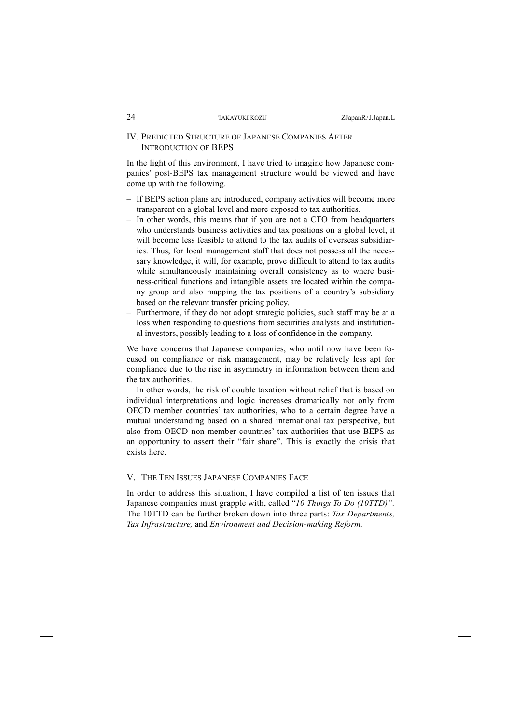#### IV. PREDICTED STRUCTURE OF JAPANESE COMPANIES AFTER INTRODUCTION OF BEPS

In the light of this environment, I have tried to imagine how Japanese companies' post-BEPS tax management structure would be viewed and have come up with the following.

- If BEPS action plans are introduced, company activities will become more transparent on a global level and more exposed to tax authorities.
- In other words, this means that if you are not a CTO from headquarters who understands business activities and tax positions on a global level, it will become less feasible to attend to the tax audits of overseas subsidiaries. Thus, for local management staff that does not possess all the necessary knowledge, it will, for example, prove difficult to attend to tax audits while simultaneously maintaining overall consistency as to where business-critical functions and intangible assets are located within the company group and also mapping the tax positions of a country's subsidiary based on the relevant transfer pricing policy.
- Furthermore, if they do not adopt strategic policies, such staff may be at a loss when responding to questions from securities analysts and institutional investors, possibly leading to a loss of confidence in the company.

We have concerns that Japanese companies, who until now have been focused on compliance or risk management, may be relatively less apt for compliance due to the rise in asymmetry in information between them and the tax authorities.

In other words, the risk of double taxation without relief that is based on individual interpretations and logic increases dramatically not only from OECD member countries' tax authorities, who to a certain degree have a mutual understanding based on a shared international tax perspective, but also from OECD non-member countries' tax authorities that use BEPS as an opportunity to assert their "fair share". This is exactly the crisis that exists here.

#### V. THE TEN ISSUES JAPANESE COMPANIES FACE

In order to address this situation, I have compiled a list of ten issues that Japanese companies must grapple with, called "*10 Things To Do (10TTD)".* The 10TTD can be further broken down into three parts: *Tax Departments, Tax Infrastructure,* and *Environment and Decision-making Reform.*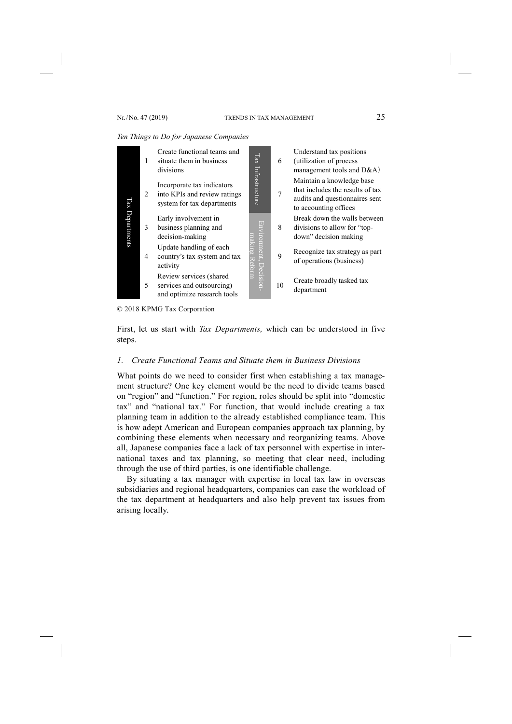#### *Ten Things to Do for Japanese Companies*



<sup>© 2018</sup> KPMG Tax Corporation

First, let us start with *Tax Departments,* which can be understood in five steps.

#### *1. Create Functional Teams and Situate them in Business Divisions*

What points do we need to consider first when establishing a tax management structure? One key element would be the need to divide teams based on "region" and "function." For region, roles should be split into "domestic tax" and "national tax." For function, that would include creating a tax planning team in addition to the already established compliance team. This is how adept American and European companies approach tax planning, by combining these elements when necessary and reorganizing teams. Above all, Japanese companies face a lack of tax personnel with expertise in international taxes and tax planning, so meeting that clear need, including through the use of third parties, is one identifiable challenge.

By situating a tax manager with expertise in local tax law in overseas subsidiaries and regional headquarters, companies can ease the workload of the tax department at headquarters and also help prevent tax issues from arising locally.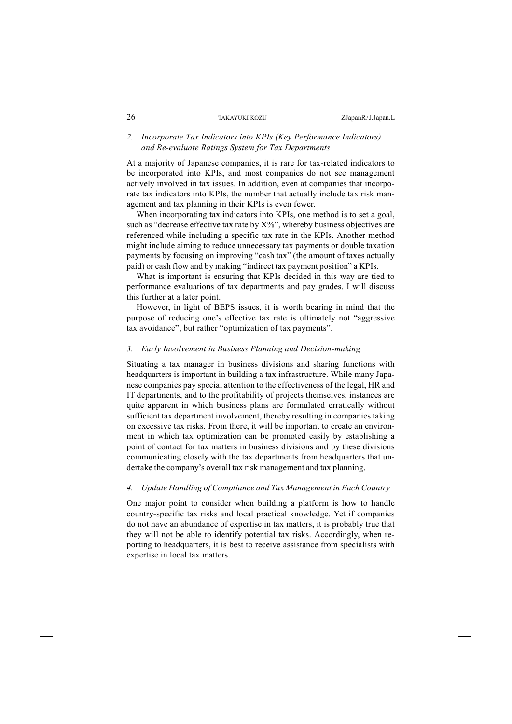### *2. Incorporate Tax Indicators into KPIs (Key Performance Indicators) and Re-evaluate Ratings System for Tax Departments*

At a majority of Japanese companies, it is rare for tax-related indicators to be incorporated into KPIs, and most companies do not see management actively involved in tax issues. In addition, even at companies that incorporate tax indicators into KPIs, the number that actually include tax risk management and tax planning in their KPIs is even fewer.

When incorporating tax indicators into KPIs, one method is to set a goal, such as "decrease effective tax rate by  $X\%$ ", whereby business objectives are referenced while including a specific tax rate in the KPIs. Another method might include aiming to reduce unnecessary tax payments or double taxation payments by focusing on improving "cash tax" (the amount of taxes actually paid) or cash flow and by making "indirect tax payment position" a KPIs.

What is important is ensuring that KPIs decided in this way are tied to performance evaluations of tax departments and pay grades. I will discuss this further at a later point.

However, in light of BEPS issues, it is worth bearing in mind that the purpose of reducing one's effective tax rate is ultimately not "aggressive tax avoidance", but rather "optimization of tax payments".

#### *3. Early Involvement in Business Planning and Decision-making*

Situating a tax manager in business divisions and sharing functions with headquarters is important in building a tax infrastructure. While many Japanese companies pay special attention to the effectiveness of the legal, HR and IT departments, and to the profitability of projects themselves, instances are quite apparent in which business plans are formulated erratically without sufficient tax department involvement, thereby resulting in companies taking on excessive tax risks. From there, it will be important to create an environment in which tax optimization can be promoted easily by establishing a point of contact for tax matters in business divisions and by these divisions communicating closely with the tax departments from headquarters that undertake the company's overall tax risk management and tax planning.

# *4. Update Handling of Compliance and Tax Management in Each Country*

One major point to consider when building a platform is how to handle country-specific tax risks and local practical knowledge. Yet if companies do not have an abundance of expertise in tax matters, it is probably true that they will not be able to identify potential tax risks. Accordingly, when reporting to headquarters, it is best to receive assistance from specialists with expertise in local tax matters.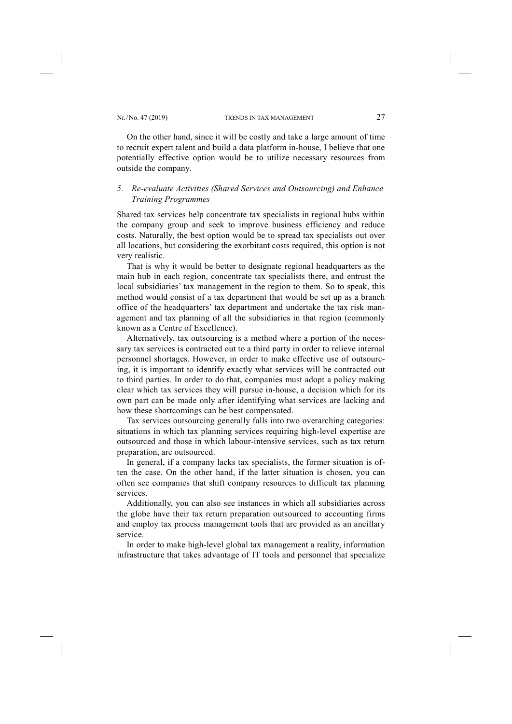On the other hand, since it will be costly and take a large amount of time to recruit expert talent and build a data platform in-house, I believe that one potentially effective option would be to utilize necessary resources from outside the company.

# *5. Re-evaluate Activities (Shared Services and Outsourcing) and Enhance Training Programmes*

Shared tax services help concentrate tax specialists in regional hubs within the company group and seek to improve business efficiency and reduce costs. Naturally, the best option would be to spread tax specialists out over all locations, but considering the exorbitant costs required, this option is not very realistic.

That is why it would be better to designate regional headquarters as the main hub in each region, concentrate tax specialists there, and entrust the local subsidiaries' tax management in the region to them. So to speak, this method would consist of a tax department that would be set up as a branch office of the headquarters' tax department and undertake the tax risk management and tax planning of all the subsidiaries in that region (commonly known as a Centre of Excellence).

Alternatively, tax outsourcing is a method where a portion of the necessary tax services is contracted out to a third party in order to relieve internal personnel shortages. However, in order to make effective use of outsourcing, it is important to identify exactly what services will be contracted out to third parties. In order to do that, companies must adopt a policy making clear which tax services they will pursue in-house, a decision which for its own part can be made only after identifying what services are lacking and how these shortcomings can be best compensated.

Tax services outsourcing generally falls into two overarching categories: situations in which tax planning services requiring high-level expertise are outsourced and those in which labour-intensive services, such as tax return preparation, are outsourced.

In general, if a company lacks tax specialists, the former situation is often the case. On the other hand, if the latter situation is chosen, you can often see companies that shift company resources to difficult tax planning services.

Additionally, you can also see instances in which all subsidiaries across the globe have their tax return preparation outsourced to accounting firms and employ tax process management tools that are provided as an ancillary service.

In order to make high-level global tax management a reality, information infrastructure that takes advantage of IT tools and personnel that specialize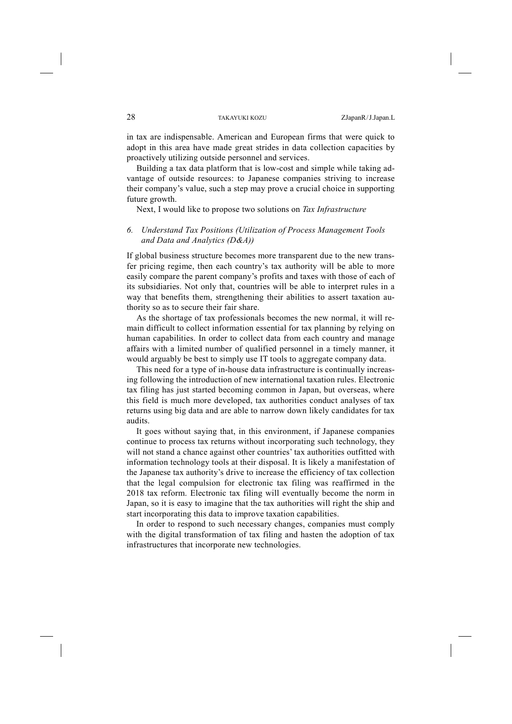in tax are indispensable. American and European firms that were quick to adopt in this area have made great strides in data collection capacities by proactively utilizing outside personnel and services.

Building a tax data platform that is low-cost and simple while taking advantage of outside resources: to Japanese companies striving to increase their company's value, such a step may prove a crucial choice in supporting future growth.

Next, I would like to propose two solutions on *Tax Infrastructure*

### *6. Understand Tax Positions (Utilization of Process Management Tools and Data and Analytics (D&A))*

If global business structure becomes more transparent due to the new transfer pricing regime, then each country's tax authority will be able to more easily compare the parent company's profits and taxes with those of each of its subsidiaries. Not only that, countries will be able to interpret rules in a way that benefits them, strengthening their abilities to assert taxation authority so as to secure their fair share.

As the shortage of tax professionals becomes the new normal, it will remain difficult to collect information essential for tax planning by relying on human capabilities. In order to collect data from each country and manage affairs with a limited number of qualified personnel in a timely manner, it would arguably be best to simply use IT tools to aggregate company data.

This need for a type of in-house data infrastructure is continually increasing following the introduction of new international taxation rules. Electronic tax filing has just started becoming common in Japan, but overseas, where this field is much more developed, tax authorities conduct analyses of tax returns using big data and are able to narrow down likely candidates for tax audits.

It goes without saying that, in this environment, if Japanese companies continue to process tax returns without incorporating such technology, they will not stand a chance against other countries' tax authorities outfitted with information technology tools at their disposal. It is likely a manifestation of the Japanese tax authority's drive to increase the efficiency of tax collection that the legal compulsion for electronic tax filing was reaffirmed in the 2018 tax reform. Electronic tax filing will eventually become the norm in Japan, so it is easy to imagine that the tax authorities will right the ship and start incorporating this data to improve taxation capabilities.

In order to respond to such necessary changes, companies must comply with the digital transformation of tax filing and hasten the adoption of tax infrastructures that incorporate new technologies.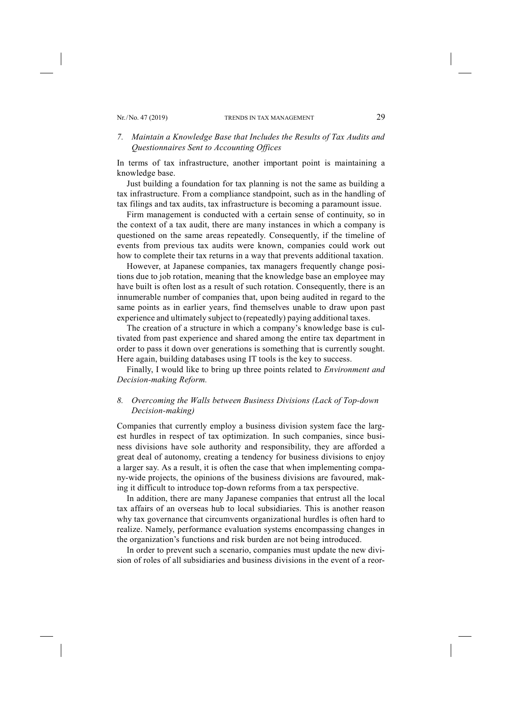### *7. Maintain a Knowledge Base that Includes the Results of Tax Audits and Questionnaires Sent to Accounting Offices*

In terms of tax infrastructure, another important point is maintaining a knowledge base.

Just building a foundation for tax planning is not the same as building a tax infrastructure. From a compliance standpoint, such as in the handling of tax filings and tax audits, tax infrastructure is becoming a paramount issue.

Firm management is conducted with a certain sense of continuity, so in the context of a tax audit, there are many instances in which a company is questioned on the same areas repeatedly. Consequently, if the timeline of events from previous tax audits were known, companies could work out how to complete their tax returns in a way that prevents additional taxation.

However, at Japanese companies, tax managers frequently change positions due to job rotation, meaning that the knowledge base an employee may have built is often lost as a result of such rotation. Consequently, there is an innumerable number of companies that, upon being audited in regard to the same points as in earlier years, find themselves unable to draw upon past experience and ultimately subject to (repeatedly) paying additional taxes.

The creation of a structure in which a company's knowledge base is cultivated from past experience and shared among the entire tax department in order to pass it down over generations is something that is currently sought. Here again, building databases using IT tools is the key to success.

Finally, I would like to bring up three points related to *Environment and Decision-making Reform.*

# *8. Overcoming the Walls between Business Divisions (Lack of Top-down Decision-making)*

Companies that currently employ a business division system face the largest hurdles in respect of tax optimization. In such companies, since business divisions have sole authority and responsibility, they are afforded a great deal of autonomy, creating a tendency for business divisions to enjoy a larger say. As a result, it is often the case that when implementing company-wide projects, the opinions of the business divisions are favoured, making it difficult to introduce top-down reforms from a tax perspective.

In addition, there are many Japanese companies that entrust all the local tax affairs of an overseas hub to local subsidiaries. This is another reason why tax governance that circumvents organizational hurdles is often hard to realize. Namely, performance evaluation systems encompassing changes in the organization's functions and risk burden are not being introduced.

In order to prevent such a scenario, companies must update the new division of roles of all subsidiaries and business divisions in the event of a reor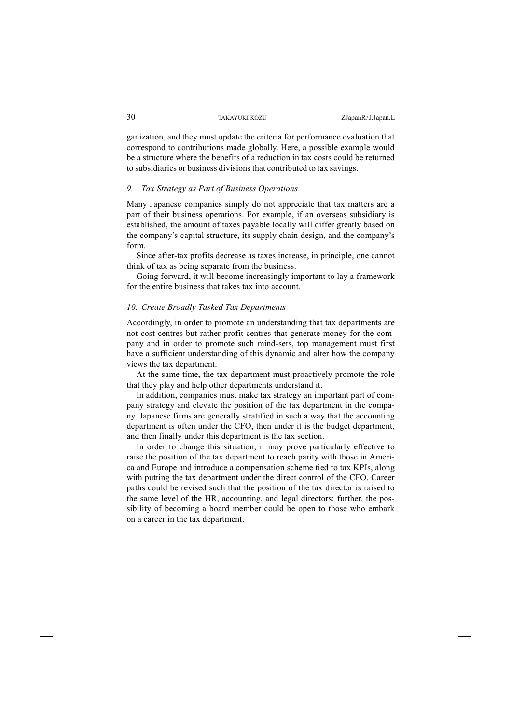ganization, and they must update the criteria for performance evaluation that correspond to contributions made globally. Here, a possible example would be a structure where the benefits of a reduction in tax costs could be returned to subsidiaries or business divisionsthat contributed to tax savings.

#### *9. Tax Strategy as Part of Business Operations*

Many Japanese companies simply do not appreciate that tax matters are a part of their business operations. For example, if an overseas subsidiary is established, the amount of taxes payable locally will differ greatly based on the company's capital structure, its supply chain design, and the company's form.

Since after-tax profits decrease as taxes increase, in principle, one cannot think of tax as being separate from the business.

Going forward, it will become increasingly important to lay a framework for the entire business that takes tax into account.

#### *10. Create Broadly Tasked Tax Departments*

Accordingly, in order to promote an understanding that tax departments are not cost centres but rather profit centres that generate money for the company and in order to promote such mind-sets, top management must first have a sufficient understanding of this dynamic and alter how the company views the tax department.

At the same time, the tax department must proactively promote the role that they play and help other departments understand it.

In addition, companies must make tax strategy an important part of company strategy and elevate the position of the tax department in the company. Japanese firms are generally stratified in such a way that the accounting department is often under the CFO, then under it is the budget department, and then finally under this department is the tax section.

In order to change this situation, it may prove particularly effective to raise the position of the tax department to reach parity with those in America and Europe and introduce a compensation scheme tied to tax KPIs, along with putting the tax department under the direct control of the CFO. Career paths could be revised such that the position of the tax director is raised to the same level of the HR, accounting, and legal directors; further, the possibility of becoming a board member could be open to those who embark on a career in the tax department.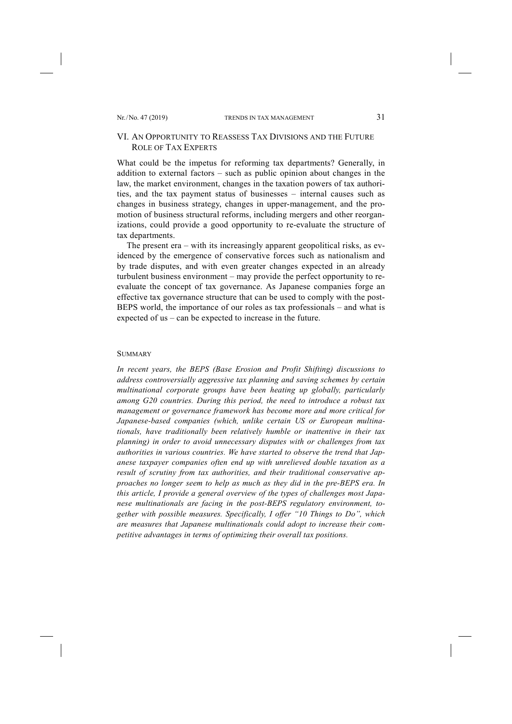# VI. AN OPPORTUNITY TO REASSESS TAX DIVISIONS AND THE FUTURE ROLE OF TAX EXPERTS

What could be the impetus for reforming tax departments? Generally, in addition to external factors – such as public opinion about changes in the law, the market environment, changes in the taxation powers of tax authorities, and the tax payment status of businesses – internal causes such as changes in business strategy, changes in upper-management, and the promotion of business structural reforms, including mergers and other reorganizations, could provide a good opportunity to re-evaluate the structure of tax departments.

The present era – with its increasingly apparent geopolitical risks, as evidenced by the emergence of conservative forces such as nationalism and by trade disputes, and with even greater changes expected in an already turbulent business environment – may provide the perfect opportunity to reevaluate the concept of tax governance. As Japanese companies forge an effective tax governance structure that can be used to comply with the post-BEPS world, the importance of our roles as tax professionals – and what is expected of us – can be expected to increase in the future.

#### **SUMMARY**

*In recent years, the BEPS (Base Erosion and Profit Shifting) discussions to address controversially aggressive tax planning and saving schemes by certain multinational corporate groups have been heating up globally, particularly among G20 countries. During this period, the need to introduce a robust tax management or governance framework has become more and more critical for Japanese-based companies (which, unlike certain US or European multinationals, have traditionally been relatively humble or inattentive in their tax planning) in order to avoid unnecessary disputes with or challenges from tax authorities in various countries. We have started to observe the trend that Japanese taxpayer companies often end up with unrelieved double taxation as a result of scrutiny from tax authorities, and their traditional conservative approaches no longer seem to help as much as they did in the pre-BEPS era. In this article, I provide a general overview of the types of challenges most Japanese multinationals are facing in the post-BEPS regulatory environment, together with possible measures. Specifically, I offer "10 Things to Do", which are measures that Japanese multinationals could adopt to increase their competitive advantages in terms of optimizing their overall tax positions.*